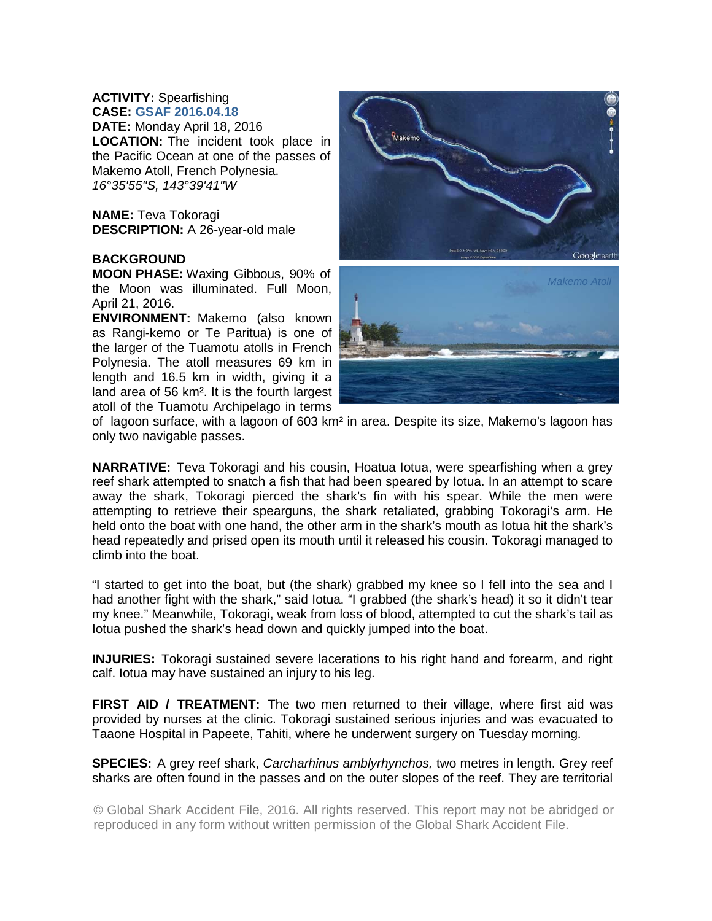## **ACTIVITY:** Spearfishing **CASE: GSAF 2016.04.18**

**DATE:** Monday April 18, 2016 **LOCATION:** The incident took place in the Pacific Ocean at one of the passes of Makemo Atoll, French Polynesia. *16°35'55"S, 143°39'41"W* 

**NAME:** Teva Tokoragi **DESCRIPTION:** A 26-year-old male

## **BACKGROUND**

**MOON PHASE:** Waxing Gibbous, 90% of the Moon was illuminated. Full Moon, April 21, 2016.

**ENVIRONMENT:** Makemo (also known as Rangi-kemo or Te Paritua) is one of the larger of the Tuamotu atolls in French Polynesia. The atoll measures 69 km in length and 16.5 km in width, giving it a land area of 56 km². It is the fourth largest atoll of the Tuamotu Archipelago in terms



of lagoon surface, with a lagoon of 603 km² in area. Despite its size, Makemo's lagoon has only two navigable passes.

**NARRATIVE:** Teva Tokoragi and his cousin, Hoatua Iotua, were spearfishing when a grey reef shark attempted to snatch a fish that had been speared by Iotua. In an attempt to scare away the shark, Tokoragi pierced the shark's fin with his spear. While the men were attempting to retrieve their spearguns, the shark retaliated, grabbing Tokoragi's arm. He held onto the boat with one hand, the other arm in the shark's mouth as Iotua hit the shark's head repeatedly and prised open its mouth until it released his cousin. Tokoragi managed to climb into the boat.

"I started to get into the boat, but (the shark) grabbed my knee so I fell into the sea and I had another fight with the shark," said Iotua. "I grabbed (the shark's head) it so it didn't tear my knee." Meanwhile, Tokoragi, weak from loss of blood, attempted to cut the shark's tail as Iotua pushed the shark's head down and quickly jumped into the boat.

**INJURIES:** Tokoragi sustained severe lacerations to his right hand and forearm, and right calf. Iotua may have sustained an injury to his leg.

**FIRST AID / TREATMENT:** The two men returned to their village, where first aid was provided by nurses at the clinic. Tokoragi sustained serious injuries and was evacuated to Taaone Hospital in Papeete, Tahiti, where he underwent surgery on Tuesday morning.

**SPECIES:** A grey reef shark, *Carcharhinus amblyrhynchos,* two metres in length. Grey reef sharks are often found in the passes and on the outer slopes of the reef. They are territorial

© Global Shark Accident File, 2016. All rights reserved. This report may not be abridged or reproduced in any form without written permission of the Global Shark Accident File.